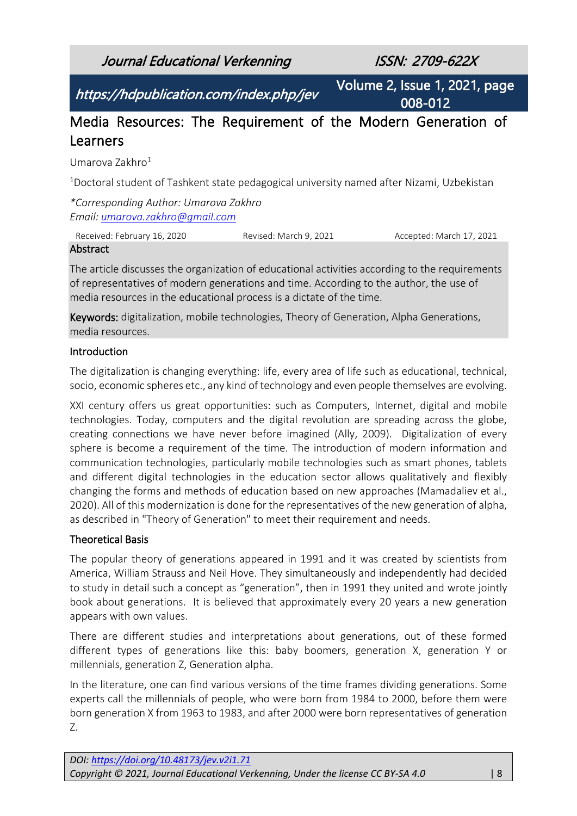Journal Educational Verkenning ISSN: 2709-622X

https://hdpublication.com/index.php/jev

Volume 2, Issue 1, 2021, page 008-012

# Media Resources: The Requirement of the Modern Generation of Learners

Umarova Zakhro<sup>1</sup>

<sup>1</sup>Doctoral student of Tashkent state pedagogical university named after Nizami, Uzbekistan

*\*Corresponding Author: Umarova Zakhro Email: [umarova.zakhro@gmail.com](mailto:umarova.zakhro@gmail.com)*

Received: February 16, 2020 Revised: March 9, 2021 Accepted: March 17, 2021 **Abstract** 

The article discusses the organization of educational activities according to the requirements of representatives of modern generations and time. According to the author, the use of media resources in the educational process is a dictate of the time.

Keywords: digitalization, mobile technologies, Theory of Generation, Alpha Generations, media resources.

#### Introduction

The digitalization is changing everything: life, every area of life such as educational, technical, socio, economic spheres etc., any kind of technology and even people themselves are evolving.

XXI century offers us great opportunities: such as Computers, Internet, digital and mobile technologies. Today, computers and the digital revolution are spreading across the globe, creating connections we have never before imagined (Ally, 2009). Digitalization of every sphere is become a requirement of the time. The introduction of modern information and communication technologies, particularly mobile technologies such as smart phones, tablets and different digital technologies in the education sector allows qualitatively and flexibly changing the forms and methods of education based on new approaches (Mamadaliev et al., 2020). All of this modernization is done for the representatives of the new generation of alpha, as described in "Theory of Generation" to meet their requirement and needs.

## Theoretical Basis

The popular theory of generations appeared in 1991 and it was created by scientists from America, William Strauss and Neil Hove. They simultaneously and independently had decided to study in detail such a concept as "generation", then in 1991 they united and wrote jointly book about generations. It is believed that approximately every 20 years a new generation appears with own values.

There are different studies and interpretations about generations, out of these formed different types of generations like this: baby boomers, generation X, generation Y or millennials, generation Z, Generation alpha.

In the literature, one can find various versions of the time frames dividing generations. Some experts call the millennials of people, who were born from 1984 to 2000, before them were born generation X from 1963 to 1983, and after 2000 were born representatives of generation Z.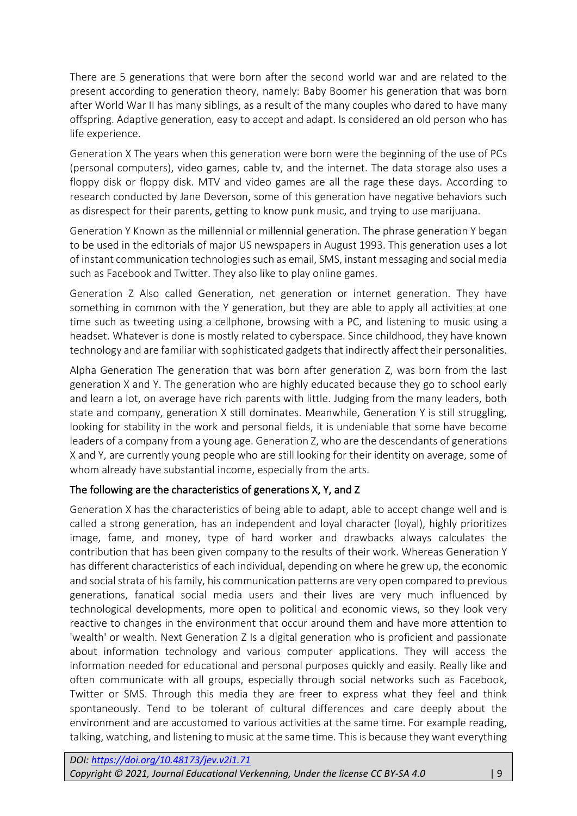There are 5 generations that were born after the second world war and are related to the present according to generation theory, namely: Baby Boomer his generation that was born after World War II has many siblings, as a result of the many couples who dared to have many offspring. Adaptive generation, easy to accept and adapt. Is considered an old person who has life experience.

Generation X The years when this generation were born were the beginning of the use of PCs (personal computers), video games, cable tv, and the internet. The data storage also uses a floppy disk or floppy disk. MTV and video games are all the rage these days. According to research conducted by Jane Deverson, some of this generation have negative behaviors such as disrespect for their parents, getting to know punk music, and trying to use marijuana.

Generation Y Known as the millennial or millennial generation. The phrase generation Y began to be used in the editorials of major US newspapers in August 1993. This generation uses a lot of instant communication technologies such as email, SMS, instant messaging and social media such as Facebook and Twitter. They also like to play online games.

Generation Z Also called Generation, net generation or internet generation. They have something in common with the Y generation, but they are able to apply all activities at one time such as tweeting using a cellphone, browsing with a PC, and listening to music using a headset. Whatever is done is mostly related to cyberspace. Since childhood, they have known technology and are familiar with sophisticated gadgets that indirectly affect their personalities.

Alpha Generation The generation that was born after generation Z, was born from the last generation X and Y. The generation who are highly educated because they go to school early and learn a lot, on average have rich parents with little. Judging from the many leaders, both state and company, generation X still dominates. Meanwhile, Generation Y is still struggling, looking for stability in the work and personal fields, it is undeniable that some have become leaders of a company from a young age. Generation Z, who are the descendants of generations X and Y, are currently young people who are still looking for their identity on average, some of whom already have substantial income, especially from the arts.

## The following are the characteristics of generations X, Y, and Z

Generation X has the characteristics of being able to adapt, able to accept change well and is called a strong generation, has an independent and loyal character (loyal), highly prioritizes image, fame, and money, type of hard worker and drawbacks always calculates the contribution that has been given company to the results of their work. Whereas Generation Y has different characteristics of each individual, depending on where he grew up, the economic and social strata of his family, his communication patterns are very open compared to previous generations, fanatical social media users and their lives are very much influenced by technological developments, more open to political and economic views, so they look very reactive to changes in the environment that occur around them and have more attention to 'wealth' or wealth. Next Generation Z Is a digital generation who is proficient and passionate about information technology and various computer applications. They will access the information needed for educational and personal purposes quickly and easily. Really like and often communicate with all groups, especially through social networks such as Facebook, Twitter or SMS. Through this media they are freer to express what they feel and think spontaneously. Tend to be tolerant of cultural differences and care deeply about the environment and are accustomed to various activities at the same time. For example reading, talking, watching, and listening to music at the same time. This is because they want everything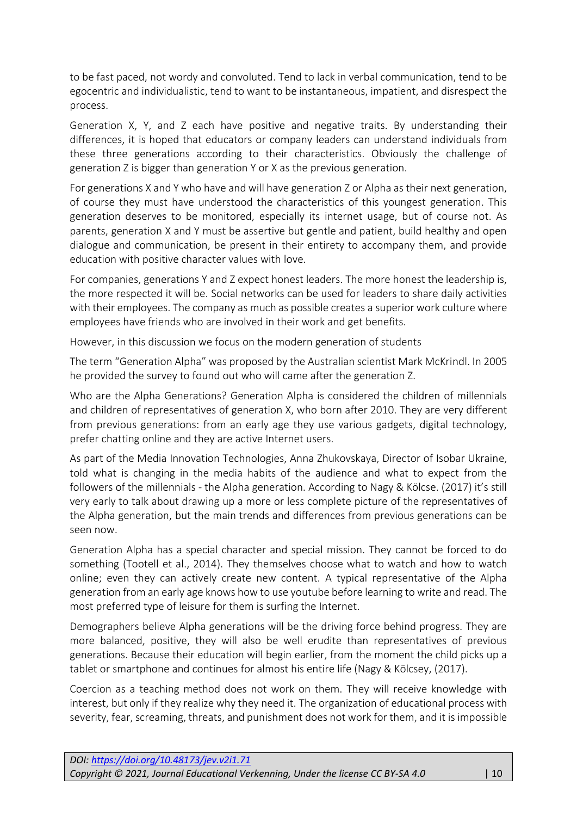to be fast paced, not wordy and convoluted. Tend to lack in verbal communication, tend to be egocentric and individualistic, tend to want to be instantaneous, impatient, and disrespect the process.

Generation X, Y, and Z each have positive and negative traits. By understanding their differences, it is hoped that educators or company leaders can understand individuals from these three generations according to their characteristics. Obviously the challenge of generation Z is bigger than generation Y or X as the previous generation.

For generations X and Y who have and will have generation Z or Alpha as their next generation, of course they must have understood the characteristics of this youngest generation. This generation deserves to be monitored, especially its internet usage, but of course not. As parents, generation X and Y must be assertive but gentle and patient, build healthy and open dialogue and communication, be present in their entirety to accompany them, and provide education with positive character values with love.

For companies, generations Y and Z expect honest leaders. The more honest the leadership is, the more respected it will be. Social networks can be used for leaders to share daily activities with their employees. The company as much as possible creates a superior work culture where employees have friends who are involved in their work and get benefits.

However, in this discussion we focus on the modern generation of students

The term "Generation Alpha" was proposed by the Australian scientist Mark McKrindl. In 2005 he provided the survey to found out who will came after the generation Z.

Who are the Alpha Generations? Generation Alpha is considered the children of millennials and children of representatives of generation X, who born after 2010. They are very different from previous generations: from an early age they use various gadgets, digital technology, prefer chatting online and they are active Internet users.

As part of the Media Innovation Technologies, Anna Zhukovskaya, Director of Isobar Ukraine, told what is changing in the media habits of the audience and what to expect from the followers of the millennials - the Alpha generation. According to Nagy & Kölcse. (2017) it's still very early to talk about drawing up a more or less complete picture of the representatives of the Alpha generation, but the main trends and differences from previous generations can be seen now.

Generation Alpha has a special character and special mission. They cannot be forced to do something (Tootell et al., 2014). They themselves choose what to watch and how to watch online; even they can actively create new content. A typical representative of the Alpha generation from an early age knows how to use youtube before learning to write and read. The most preferred type of leisure for them is surfing the Internet.

Demographers believe Alpha generations will be the driving force behind progress. They are more balanced, positive, they will also be well erudite than representatives of previous generations. Because their education will begin earlier, from the moment the child picks up a tablet or smartphone and continues for almost his entire life (Nagy & Kölcsey, (2017).

Coercion as a teaching method does not work on them. They will receive knowledge with interest, but only if they realize why they need it. The organization of educational process with severity, fear, screaming, threats, and punishment does not work for them, and it is impossible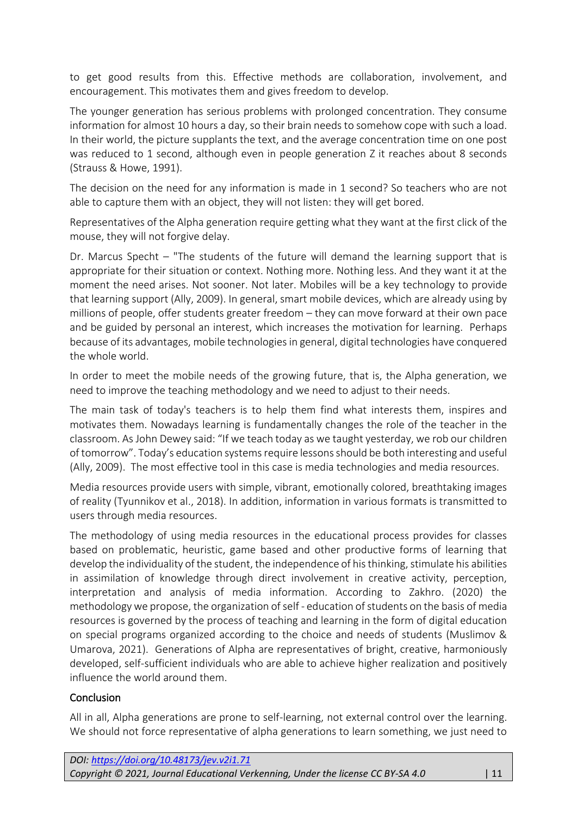to get good results from this. Effective methods are collaboration, involvement, and encouragement. This motivates them and gives freedom to develop.

The younger generation has serious problems with prolonged concentration. They consume information for almost 10 hours a day, so their brain needs to somehow cope with such a load. In their world, the picture supplants the text, and the average concentration time on one post was reduced to 1 second, although even in people generation Z it reaches about 8 seconds (Strauss & Howe, 1991).

The decision on the need for any information is made in 1 second? So teachers who are not able to capture them with an object, they will not listen: they will get bored.

Representatives of the Alpha generation require getting what they want at the first click of the mouse, they will not forgive delay.

Dr. Marcus Specht – "The students of the future will demand the learning support that is appropriate for their situation or context. Nothing more. Nothing less. And they want it at the moment the need arises. Not sooner. Not later. Mobiles will be a key technology to provide that learning support (Ally, 2009). In general, smart mobile devices, which are already using by millions of people, offer students greater freedom – they can move forward at their own pace and be guided by personal an interest, which increases the motivation for learning. Perhaps because of its advantages, mobile technologies in general, digital technologies have conquered the whole world.

In order to meet the mobile needs of the growing future, that is, the Alpha generation, we need to improve the teaching methodology and we need to adjust to their needs.

The main task of today's teachers is to help them find what interests them, inspires and motivates them. Nowadays learning is fundamentally changes the role of the teacher in the classroom. As John Dewey said: "If we teach today as we taught yesterday, we rob our children of tomorrow". Today's education systems require lessons should be both interesting and useful (Ally, 2009). The most effective tool in this case is media technologies and media resources.

Media resources provide users with simple, vibrant, emotionally colored, breathtaking images of reality (Tyunnikov et al., 2018). In addition, information in various formats is transmitted to users through media resources.

The methodology of using media resources in the educational process provides for classes based on problematic, heuristic, game based and other productive forms of learning that develop the individuality of the student, the independence of his thinking, stimulate his abilities in assimilation of knowledge through direct involvement in creative activity, perception, interpretation and analysis of media information. According to Zakhro. (2020) the methodology we propose, the organization of self - education of students on the basis of media resources is governed by the process of teaching and learning in the form of digital education on special programs organized according to the choice and needs of students (Muslimov & Umarova, 2021). Generations of Alpha are representatives of bright, creative, harmoniously developed, self-sufficient individuals who are able to achieve higher realization and positively influence the world around them.

#### **Conclusion**

All in all, Alpha generations are prone to self-learning, not external control over the learning. We should not force representative of alpha generations to learn something, we just need to